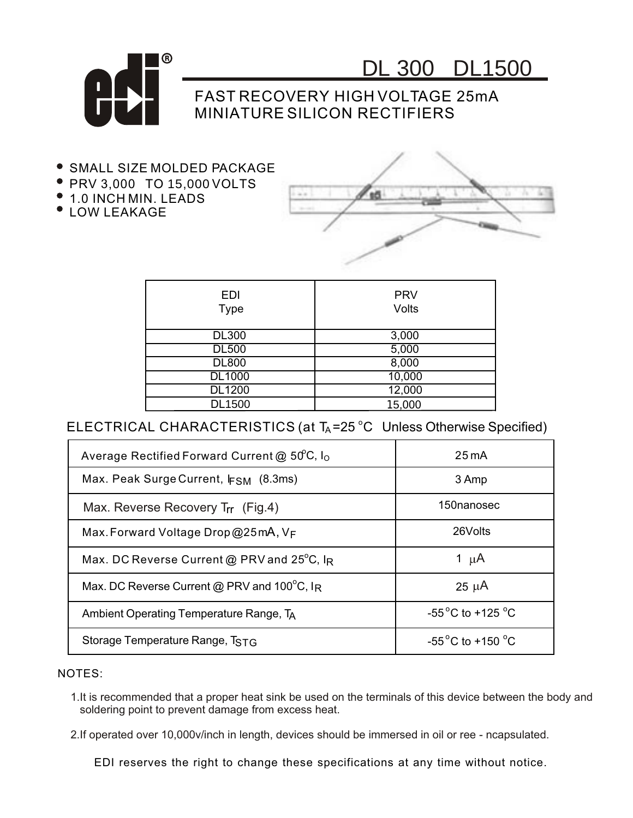

DL 300 DL1500

## FAST RECOVERY HIGH VOLTAGE 25mA MINIATURE SILICON RECTIFIERS

- **SMALL SIZE MOLDED PACKAGE**
- PRV 3,000 TO 15,000 VOLTS
- $\bullet$  1.0 INCH MIN. LEADS
- **COW LEAKAGE**



| EDI<br><b>Type</b> | <b>PRV</b><br>Volts |
|--------------------|---------------------|
| <b>DL300</b>       | 3,000               |
| <b>DL500</b>       | 5,000               |
| <b>DL800</b>       | 8,000               |
| <b>DL1000</b>      | 10,000              |
| <b>DL1200</b>      | 12,000              |
| <b>DL1500</b>      | 15,000              |
|                    |                     |

ELECTRICAL CHARACTERISTICS (at  $T_A = 25$  °C Unless Otherwise Specified)

| Average Rectified Forward Current $@$ 50°C, $I_0$ | $25 \text{ mA}$                           |
|---------------------------------------------------|-------------------------------------------|
| Max. Peak Surge Current, $FSM$ (8.3ms)            | 3 Amp                                     |
| Max. Reverse Recovery T <sub>rr</sub> (Fig.4)     | 150nanosec                                |
| Max. Forward Voltage Drop @25mA, $V_F$            | 26Volts                                   |
| Max. DC Reverse Current @ PRV and 25°C, IR        | 1 $\mu$ A                                 |
| Max. DC Reverse Current @ PRV and 100°C, IR       | $25 \mu A$                                |
| Ambient Operating Temperature Range, TA           | -55 <sup>°</sup> C to +125 <sup>°</sup> C |
| Storage Temperature Range, TSTG                   | $-55^{\circ}$ C to +150 $^{\circ}$ C      |

NOTES:

1.It is recommended that a proper heat sink be used on the terminals of this device between the body and soldering point to prevent damage from excess heat.

2.If operated over 10,000v/inch in length, devices should be immersed in oil or ree - ncapsulated.

EDI reserves the right to change these specifications at any time without notice.